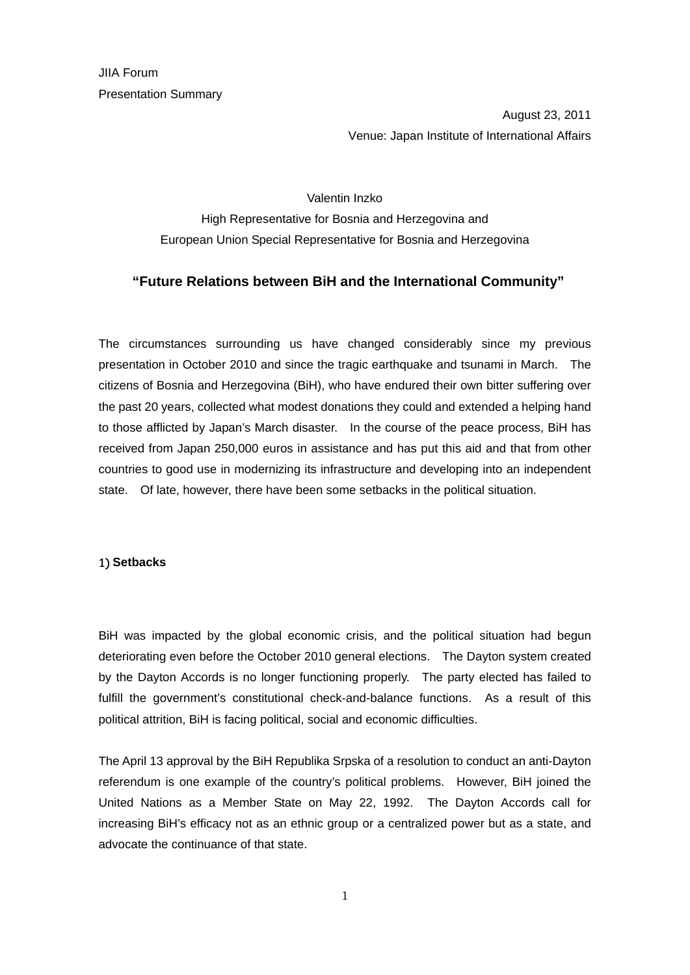JIIA Forum Presentation Summary

> August 23, 2011 Venue: Japan Institute of International Affairs

#### Valentin Inzko

High Representative for Bosnia and Herzegovina and European Union Special Representative for Bosnia and Herzegovina

# **"Future Relations between BiH and the International Community"**

The circumstances surrounding us have changed considerably since my previous presentation in October 2010 and since the tragic earthquake and tsunami in March. The citizens of Bosnia and Herzegovina (BiH), who have endured their own bitter suffering over the past 20 years, collected what modest donations they could and extended a helping hand to those afflicted by Japan's March disaster. In the course of the peace process, BiH has received from Japan 250,000 euros in assistance and has put this aid and that from other countries to good use in modernizing its infrastructure and developing into an independent state. Of late, however, there have been some setbacks in the political situation.

## 1) Setbacks

BiH was impacted by the global economic crisis, and the political situation had begun deteriorating even before the October 2010 general elections. The Dayton system created by the Dayton Accords is no longer functioning properly. The party elected has failed to fulfill the government's constitutional check-and-balance functions. As a result of this political attrition, BiH is facing political, social and economic difficulties.

The April 13 approval by the BiH Republika Srpska of a resolution to conduct an anti-Dayton referendum is one example of the country's political problems. However, BiH joined the United Nations as a Member State on May 22, 1992. The Dayton Accords call for increasing BiH's efficacy not as an ethnic group or a centralized power but as a state, and advocate the continuance of that state.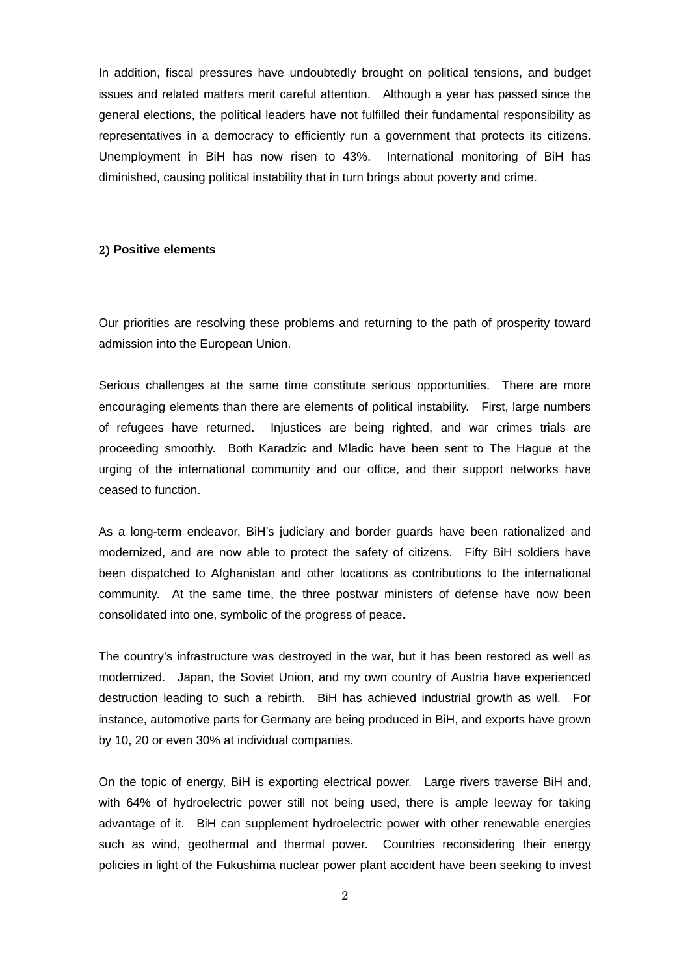In addition, fiscal pressures have undoubtedly brought on political tensions, and budget issues and related matters merit careful attention. Although a year has passed since the general elections, the political leaders have not fulfilled their fundamental responsibility as representatives in a democracy to efficiently run a government that protects its citizens. Unemployment in BiH has now risen to 43%. International monitoring of BiH has diminished, causing political instability that in turn brings about poverty and crime.

#### 2) Positive elements

Our priorities are resolving these problems and returning to the path of prosperity toward admission into the European Union.

Serious challenges at the same time constitute serious opportunities. There are more encouraging elements than there are elements of political instability. First, large numbers of refugees have returned. Injustices are being righted, and war crimes trials are proceeding smoothly. Both Karadzic and Mladic have been sent to The Hague at the urging of the international community and our office, and their support networks have ceased to function.

As a long-term endeavor, BiH's judiciary and border guards have been rationalized and modernized, and are now able to protect the safety of citizens. Fifty BiH soldiers have been dispatched to Afghanistan and other locations as contributions to the international community. At the same time, the three postwar ministers of defense have now been consolidated into one, symbolic of the progress of peace.

The country's infrastructure was destroyed in the war, but it has been restored as well as modernized. Japan, the Soviet Union, and my own country of Austria have experienced destruction leading to such a rebirth. BiH has achieved industrial growth as well. For instance, automotive parts for Germany are being produced in BiH, and exports have grown by 10, 20 or even 30% at individual companies.

On the topic of energy, BiH is exporting electrical power. Large rivers traverse BiH and, with 64% of hydroelectric power still not being used, there is ample leeway for taking advantage of it. BiH can supplement hydroelectric power with other renewable energies such as wind, geothermal and thermal power. Countries reconsidering their energy policies in light of the Fukushima nuclear power plant accident have been seeking to invest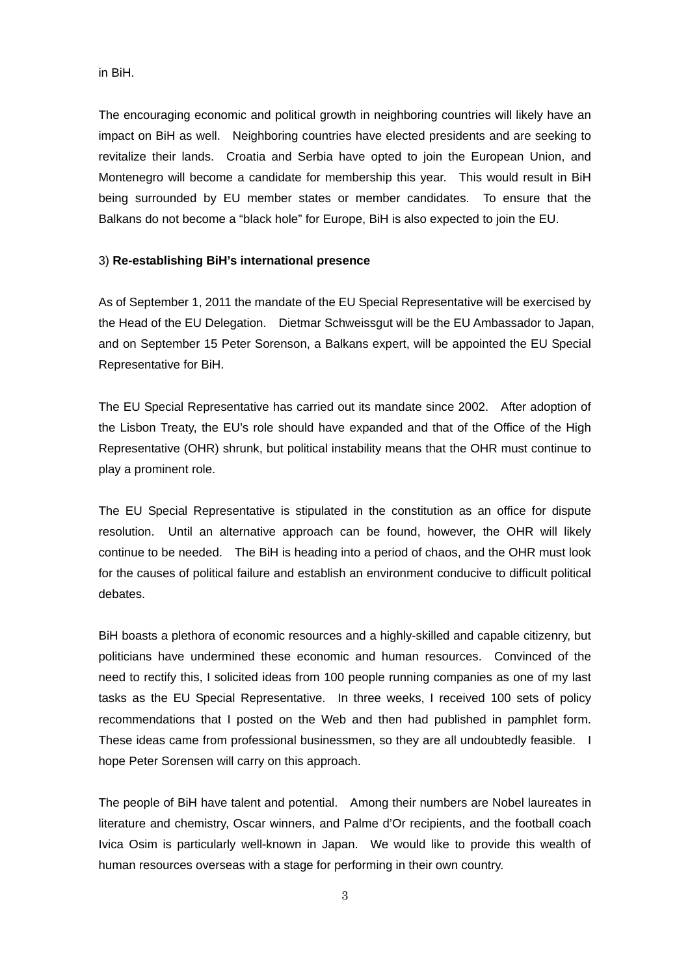in BiH.

The encouraging economic and political growth in neighboring countries will likely have an impact on BiH as well. Neighboring countries have elected presidents and are seeking to revitalize their lands. Croatia and Serbia have opted to join the European Union, and Montenegro will become a candidate for membership this year. This would result in BiH being surrounded by EU member states or member candidates. To ensure that the Balkans do not become a "black hole" for Europe, BiH is also expected to join the EU.

## 3) **Re-establishing BiH's international presence**

As of September 1, 2011 the mandate of the EU Special Representative will be exercised by the Head of the EU Delegation. Dietmar Schweissgut will be the EU Ambassador to Japan, and on September 15 Peter Sorenson, a Balkans expert, will be appointed the EU Special Representative for BiH.

The EU Special Representative has carried out its mandate since 2002. After adoption of the Lisbon Treaty, the EU's role should have expanded and that of the Office of the High Representative (OHR) shrunk, but political instability means that the OHR must continue to play a prominent role.

The EU Special Representative is stipulated in the constitution as an office for dispute resolution. Until an alternative approach can be found, however, the OHR will likely continue to be needed. The BiH is heading into a period of chaos, and the OHR must look for the causes of political failure and establish an environment conducive to difficult political debates.

BiH boasts a plethora of economic resources and a highly-skilled and capable citizenry, but politicians have undermined these economic and human resources. Convinced of the need to rectify this, I solicited ideas from 100 people running companies as one of my last tasks as the EU Special Representative. In three weeks, I received 100 sets of policy recommendations that I posted on the Web and then had published in pamphlet form. These ideas came from professional businessmen, so they are all undoubtedly feasible. I hope Peter Sorensen will carry on this approach.

The people of BiH have talent and potential. Among their numbers are Nobel laureates in literature and chemistry, Oscar winners, and Palme d'Or recipients, and the football coach Ivica Osim is particularly well-known in Japan. We would like to provide this wealth of human resources overseas with a stage for performing in their own country.